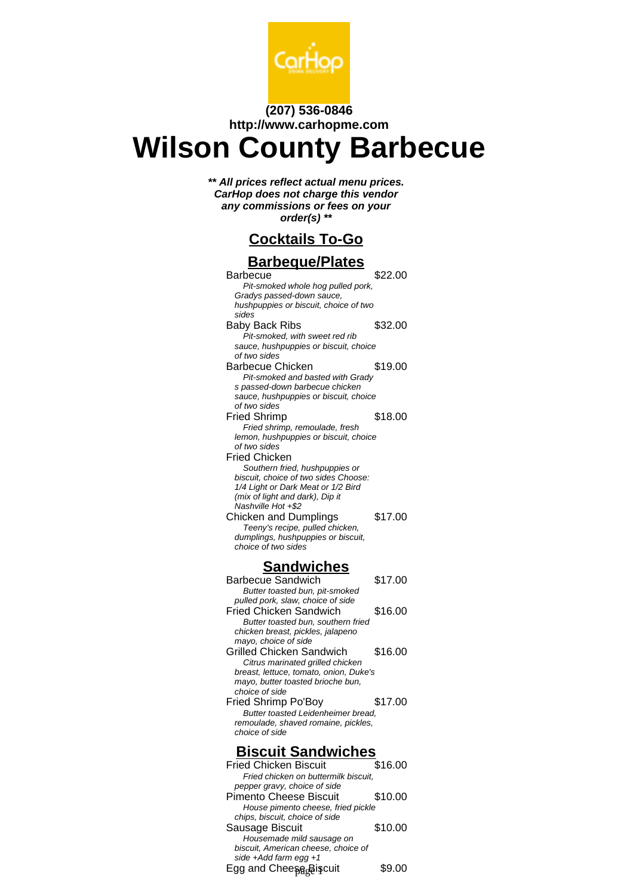

#### **(207) 536-0846 http://www.carhopme.com**

# **Wilson County Barbecue**

**\*\* All prices reflect actual menu prices. CarHop does not charge this vendor any commissions or fees on your order(s) \*\***

# **Cocktails To-Go**

#### **Barbeque/Plates**

| Barbecue                               | \$22.00 |
|----------------------------------------|---------|
| Pit-smoked whole hog pulled pork,      |         |
| Gradys passed-down sauce,              |         |
| hushpuppies or biscuit, choice of two  |         |
| sides                                  |         |
| Baby Back Ribs                         | \$32.00 |
| Pit-smoked, with sweet red rib         |         |
| sauce, hushpuppies or biscuit, choice  |         |
| of two sides                           |         |
| <b>Barbecue Chicken</b>                | \$19.00 |
| Pit-smoked and basted with Grady       |         |
| s passed-down barbecue chicken         |         |
| sauce, hushpuppies or biscuit, choice  |         |
| of two sides                           |         |
| Fried Shrimp                           | \$18.00 |
| Fried shrimp, remoulade, fresh         |         |
| lemon, hushpuppies or biscuit, choice  |         |
| of two sides                           |         |
| <b>Fried Chicken</b>                   |         |
| Southern fried, hushpuppies or         |         |
| biscuit, choice of two sides Choose:   |         |
| 1/4 Light or Dark Meat or 1/2 Bird     |         |
| (mix of light and dark), Dip it        |         |
| Nashville Hot +\$2                     |         |
| <b>Chicken and Dumplings</b>           | \$17.00 |
| Teeny's recipe, pulled chicken,        |         |
| dumplings, hushpuppies or biscuit,     |         |
| choice of two sides                    |         |
|                                        |         |
| <b>Sandwiches</b>                      |         |
| <b>Barbecue Sandwich</b>               | \$17.00 |
| Butter toasted bun, pit-smoked         |         |
| pulled pork, slaw, choice of side      |         |
| Fried Chicken Sandwich                 | \$16.00 |
| Butter toasted bun, southern fried     |         |
| chicken breast, pickles, jalapeno      |         |
| mayo, choice of side                   |         |
| Grilled Chicken Sandwich               | \$16.00 |
| Citrus marinated grilled chicken       |         |
| breast, lettuce, tomato, onion, Duke's |         |
| mayo, butter toasted brioche bun,      |         |
| choice of side                         |         |
| Fried Shrimp Po'Boy                    | \$17.00 |
| Butter toasted Leidenheimer bread,     |         |
| remoulade, shaved romaine, pickles,    |         |

choice of side

## **Biscuit Sandwiches**

| <b>Fried Chicken Biscuit</b>         | \$16.00 |
|--------------------------------------|---------|
| Fried chicken on buttermilk biscuit, |         |
| pepper gravy, choice of side         |         |
| <b>Pimento Cheese Biscuit</b>        | \$10.00 |
| House pimento cheese, fried pickle   |         |
| chips, biscuit, choice of side       |         |
| Sausage Biscuit                      | \$10.00 |
| Housemade mild sausage on            |         |
| biscuit, American cheese, choice of  |         |
| side +Add farm egg +1                |         |
| Egg and Cheese Biscuit               | \$9.00  |
|                                      |         |